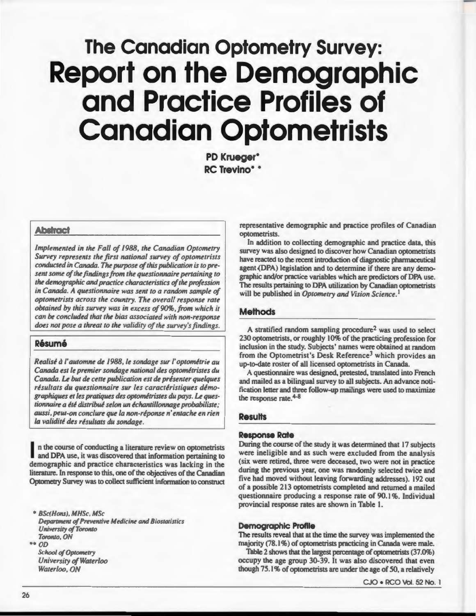# **The Canadian Optometry Survey: Report on the Demographic and Practice Profiles of Canadian Optometrists**

**PO Krueger• RC Trevino•** •

#### **Abstract**

*Implemented in the Fall of 1988, the Canadian Optometry Survey represents the first national survey of optometrists conducted in Canada. The purpose of this publication is to present some of the findings from the questionnaire pertaining to the demographic and practice characteristics of the profession in Canada. A questionnaire was sent to a random sample of optometrists across the country. The overall response rate obtained by this survey was in excess of90%.from which it can be concluded that the bias associated with non-response does not pose a threat to the validity of the survey's findings.* 

# **Resume**

*Realise* a/' *automne de 19 8, le sondage sur/' optomerrie au Canada est le premier sondage national des optomerristes du Canada.* Le *but de cette publication est de presenter quelques*  résultats du questionnaire sur les caractéristiques démo*graphiques et les pratiques des optomerristes du pays.* Le *questionnaire a ere distribue selon un echantillonnage probabiliste; aussi,peut-on conc/ure que Ia non-reponse n' entache en rien Ia validite des resultats du sondage.* 

n the course of conducting a literature review on optometrists and DPA use, it was discovered that information pertaining to demographic and practice characteristics was lacking in the literature. In response to this, one of the objectives of the Canadian Optometry Survey was to collect sufficient information to construct

• *BSc(Hons), MHSc, MSc Department of Preventive Medicine and Biostatistics University of Toronto Toronto, ON* 

•• *OD* 

*School of Optometry University of Waterloo Waterloo , ON* 

representative demographic and practice profiles of Canadian optometrists.

In addition to collecting demographic and practice data, this survey was also designed to discover how Canadian optometrists have reacted to the recent introduction of diagnostic pharmaceutical agent (DPA) legislation and to determine if there are any demographic and/or practice variables which are predictors of DPA use. The results pertaining to DPA utilization by Canadian optometrists will be published in *Optometry and Vision Science*.<sup>1</sup>

# **Methods**

A stratified random sampling procedure<sup>2</sup> was used to select 230 optometrists, or roughly 10% of the practicing profession for inclusion in the study. Subjects' names were obtained at random from the Optometrist's Desk Reference<sup>3</sup> which provides an up-to-date roster of all licensed optometrists in Canada.

A questionnaire was designed, pretested, translated into French and mailed as a bilingual survey to all subjects. An advance notification letter and three follow-up mailings were used to maximize the response rate. 4-8

#### **Results**

#### **Response Rate**

During the course of the study it was determined that 17 subjects were ineligible and as such were excluded from the analysis (six were retired, three were deceased, two were not in practice during the previous year, one was randomly selected twice and five had moved without leaving forwarding addresses). 192 out of a possible 213 optometrists completed and returned a mailed questionnaire producing a response rate of 90.1%. Individual provincial response rates are shown in Table 1.

#### **Demographic Profile**

The results reveal that at the time the survey was implemented the majority (78.1%) of optometrists practicing in Canada were male.

Table 2 shows that the largest percentage of optometrists (37.0%) occupy the age group 30-39. It was also discovered that even though 75.1% of optometrists are under the age of 50, a relatively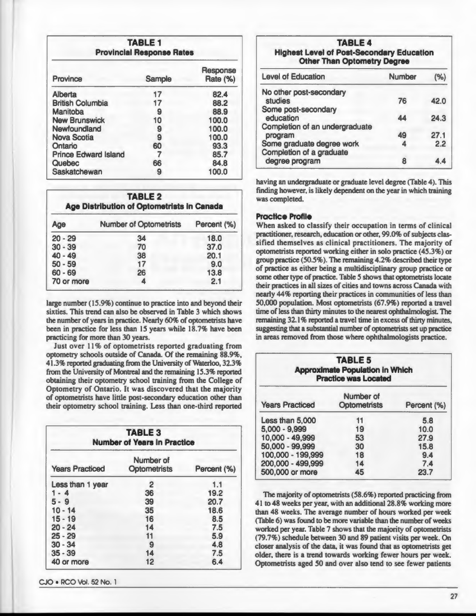| <b>TABLE 1</b><br><b>Provincial Response Rates</b> |        |                             |
|----------------------------------------------------|--------|-----------------------------|
| <b>Province</b>                                    | Sample | Response<br><b>Rate (%)</b> |
| Alberta                                            | 17     | 82.4                        |
| <b>British Columbia</b>                            | 17     | 88.2                        |
| <b>Manitoba</b>                                    | 9      | 88.9                        |
| <b>New Brunswick</b>                               | 10     | 100.0                       |
| Newfoundland                                       | 9      | 100.0                       |
| <b>Nova Scotia</b>                                 | 9      | 100.0                       |
| Ontario                                            | 60     | 93.3                        |
| <b>Prince Edward Island</b>                        |        | 85.7                        |
| <b>Quebec</b>                                      | 66     | 84.8                        |
| Saskatchewan                                       | g      | 100.0                       |

| <b>TABLE 2</b><br><b>Age Distribution of Optometrists in Canada</b> |                               |             |
|---------------------------------------------------------------------|-------------------------------|-------------|
| <b>Age</b>                                                          | <b>Number of Optometrists</b> | Percent (%) |
| $20 - 29$                                                           | 34                            | 18.0        |
| $30 - 39$                                                           | 70                            | 37.0        |
| $40 - 49$                                                           | 38                            | 20.1        |
| $50 - 59$                                                           | 17                            | 9.0         |
| $60 - 69$                                                           | 26                            | 13.8        |
| 70 or more                                                          | Δ                             | 2.1         |

large number (15.9%) continue to practice into and beyond their sixties. This trend can also be observed in Table 3 which shows the number of years in practice. Nearly 60% of optometrists have been in practice for less than 15 years while 18.7% have been practicing for more than 30 years.

Just over 11% of optometrists reported graduating from optometry schools outside of Canada. Of the remaining 88.9%, 41.3% reported graduating from the University of Waterloo, 32.3% from the University of Montreal and the remaining 15.3% reported obtaining their optometry school training from the College of Optometry of Ontario. It was discovered that the majority of optometrists have little post-secondary education other than their optometry school training. Less than one-third reported

| <b>TABLE 3</b><br><b>Number of Years in Practice</b> |                                  |             |  |
|------------------------------------------------------|----------------------------------|-------------|--|
| <b>Years Practiced</b>                               | Number of<br><b>Optometrists</b> | Percent (%) |  |
| Less than 1 year                                     | 2                                | 1.1         |  |
| $1 - 4$                                              | 36                               | 19.2        |  |
| $5 - 9$                                              | 39                               | 20.7        |  |
| $10 - 14$                                            | 35                               | 18.6        |  |
| $15 - 19$                                            | 16                               | 8.5         |  |
| $20 - 24$                                            | 14                               | 7.5         |  |
| $25 - 29$                                            | 11                               | 5.9         |  |
| $30 - 34$                                            | 9                                | 4.8         |  |
| $35 - 39$                                            | 14                               | 7.5         |  |
| 40 or more                                           | 12                               | 6.4         |  |

CJO • RCO Vol. 52 No. 1

### **TABLE 4 Highest Level of Post-Secondary Education Other Than Optometry Degree**

| <b>Level of Education</b>      | <b>Number</b> | (%   |
|--------------------------------|---------------|------|
| No other post-secondary        |               |      |
| <b>studies</b>                 | 76            | 42.0 |
| Some post-secondary            |               |      |
| education                      | 44            | 24.3 |
| Completion of an undergraduate |               |      |
| program                        | 49            | 27.1 |
| Some graduate degree work      |               | 2.2  |
| Completion of a graduate       |               |      |
| degree program                 | 8             |      |

having an undergraduate or graduate level degree (Table 4). This finding however, is likely dependent on the year in which training was completed.

# **Practice Profile**

When asked to classify their occupation in terms of clinical practitioner, research, education or other, 99.0% of subjects classified themselves as clinical practitioners. The majority of optometrists reported working either in solo practice (45.3%) or group practice (50.5%). The remaining 4.2% described their type of practice as either being a multidisciplinary group practice or some other type of practice. Table 5 shows that optometrists locate their practices in all sizes of cities and towns across Canada with nearly 44% reporting their practices in communities of less than 50,000 population. Most optometrists (67.9%) reported a travel time of less than thirty minutes to the nearest ophthalmologist. The remaining 32.1% reported a travel time in excess of thirty minutes, suggesting that a substantial number of optometrists set up practice in areas removed from those where ophthalmologists practice.

| <b>TABLE 5</b><br><b>Approximate Population in Which</b><br><b>Practice was Located</b> |                                  |             |  |
|-----------------------------------------------------------------------------------------|----------------------------------|-------------|--|
| <b>Years Practiced</b>                                                                  | Number of<br><b>Optometrists</b> | Percent (%) |  |
| Less than 5,000                                                                         | 11                               | 5.8         |  |
| $5,000 - 9,999$                                                                         | 19                               | 10.0        |  |
| 10,000 - 49,999                                                                         | 53                               | 27.9        |  |
| 50,000 - 99,999                                                                         | 30                               | 15.8        |  |
| 100,000 - 199,999                                                                       | 18                               | 9.4         |  |
| 200,000 - 499,999                                                                       | 14                               | 7.4         |  |
| 500,000 or more                                                                         | 45                               | 23.7        |  |

The majority of optometrists (58.6%) reported practicing from 41 to 48 weeks per year, with an additional 28.8% working more than 48 weeks. The average number of hours worked per week (Table 6) was found to be more variable than the number of weeks worked per year. Table 7 shows that the majority of optometrist (79.7%) schedule between 30 and 89 patient visits per week. On closer analysis of the data, it was found that as optometrists get older, there is a trend towards working fewer hours per week. Optometrists aged 50 and over also tend to see fewer patients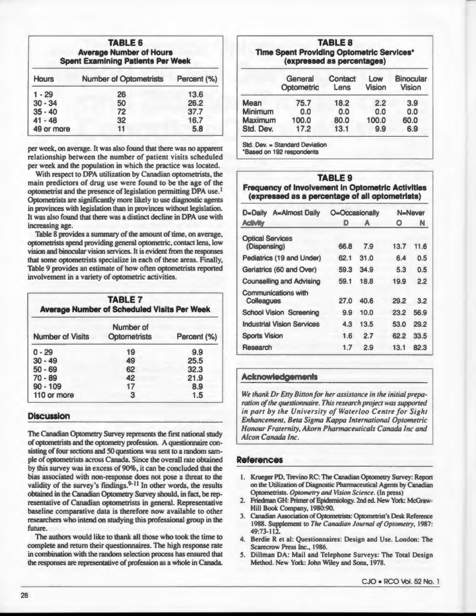| <b>TABLE 6</b><br><b>Average Number of Hours</b><br><b>Spent Examining Patients Per Week</b> |                               |             |
|----------------------------------------------------------------------------------------------|-------------------------------|-------------|
| <b>Hours</b>                                                                                 | <b>Number of Optometrists</b> | Percent (%) |
| $1 - 29$                                                                                     | 26                            | 13.6        |
| $30 - 34$                                                                                    | 50                            | 26.2        |
| $35 - 40$                                                                                    | 72                            | 37.7        |
| $41 - 48$                                                                                    | 32                            | 16.7        |
| 49 or more                                                                                   | 11                            | 5.8         |

per week, on average. It was also found that there was no apparent relationship between the number of patient visits scheduled per week and the population in which the practice was located.

With respect to DPA utilization by Canadian optometrists, the main predictors of drug use were found to be the age of the optometrist and the presence of legislation permitting DPA use.<sup>1</sup> Optometrists are significantly more likely to use diagnostic agents in provinces with legislation than in provinces without legislation. It was also found that there was a distinct decline in DPA use with increasing age.

Table 8 provides a summary of the amount of time, on average, optometrists spend providing general optometric, contact lens, low vision and binocular vision services. It is evident from the responses that some optometrists specialize in each of these areas. Finally, Table 9 provides an estimate of how often optometrists reported involvement in a variety of optometric activities.

| <b>TABLE 7</b><br><b>Average Number of Scheduled Visits Per Week</b> |                                  |             |  |
|----------------------------------------------------------------------|----------------------------------|-------------|--|
| <b>Number of Visits</b>                                              | Number of<br><b>Optometrists</b> | Percent (%) |  |
| $0 - 29$                                                             | 19                               | 9.9         |  |
| $30 - 49$                                                            | 49                               | 25.5        |  |
| $50 - 69$                                                            | 62                               | 32.3        |  |
| $70 - 89$                                                            | 42                               | 21.9        |  |
| $90 - 109$                                                           | 17                               | 8.9         |  |
| 110 or more                                                          | з                                | 1.5         |  |

# **Discussion**

The Canadian Optometry Survey represents the first national tudy of optometrists and the optometry profession. A questionnaire consisting of four sections and 50 questions was sent to a random sample of optometrists across Canada. Since the overall rate obtained by this survey was in excess of 90%, it can be concluded that the bias associated with non-response does not pose a threat to the validity of the survey's findings. $9-11$  In other words, the results obtained in the Canadian Optometry Survey should, in fact, be representative of Canadian optometrists in general. Representative baseline comparative data is therefore now available to other researchers who intend on studying this professional group in the future.

The authors would like to thank all those who took the time to complete and return their questionnaires. The high response rate in combination with the random selection process has ensured that the responses are representative of profession as a whole in Canada.

**TABLE 8 Time Spent Providing Optometric Services\* (expressed as percentages)** 

|                | General<br>Optometric | <b>Contact</b><br>Lens | Low<br><b>Vision</b> | <b>Binocular</b><br><b>Vision</b> |
|----------------|-----------------------|------------------------|----------------------|-----------------------------------|
| <b>Mean</b>    | 75.7                  | 18.2                   | 2.2                  | 3.9                               |
| <b>Minimum</b> | 0.0                   | 0.0                    | 0.0                  | 0.0                               |
| <b>Maximum</b> | 100.0                 | 80.0                   | 100.0                | 60.0                              |
| Std. Dev.      | 17.2                  | 13.1                   | 9.9                  | 6.9                               |

Std. Dev. = Standard Deviation

\*Based on 192 respondents

| <b>TABLE 9</b>                                           |  |  |  |  |  |
|----------------------------------------------------------|--|--|--|--|--|
| <b>Frequency of Involvement in Optometric Activities</b> |  |  |  |  |  |
| (expressed as a percentage of all optometrists)          |  |  |  |  |  |

| <b>A=Almost Daily</b><br>D=Daily                | O=Occasionally |      | N=Never |      |
|-------------------------------------------------|----------------|------|---------|------|
| <b>Activity</b>                                 | D              | A    | O       | N    |
| <b>Optical Services</b><br>(Dispensing)         | 66.8           | 7.9  | 13.7    | 11.6 |
| <b>Pediatrics (19 and Under)</b>                | 62.1           | 31.0 | 6.4     | 0.5  |
| Geriatrics (60 and Over)                        | 59.3           | 34.9 | 5.3     | 0.5  |
| <b>Counselling and Advising</b>                 | 59.1           | 18.8 | 19.9    | 2.2  |
| <b>Communications with</b><br><b>Colleagues</b> | 27.0           | 40.6 | 29.2    | 3.2  |
| <b>School Vision Screening</b>                  | 9.9            | 10.0 | 23.2    | 56.9 |
| <b>Industrial Vision Services</b>               | 4.3            | 13.5 | 53.0    | 29.2 |
| <b>Sports Vision</b>                            | 1.6            | 2.7  | 62.2    | 33.5 |
| <b>Research</b>                                 | 1.7            | 2.9  | 13.1    | 82.3 |

## **Acknowledgements**

*We thank Dr Etty Bitton for her assistance in the initial preparation of the questionnaire. This research project was supported in part by the University of Waterloo Centre for Sight Enhancement, Beta Sigma Kappa International Optometric Honour Fraternity, Akorn Pharmaceuticals Canada Inc and Alcon Canada Inc.* 

#### **References**

- I. Krueger PO, Trevino RC: The Canadian Optometry Survey: Repon on the Utilization of Diagnostic Pharmaceutical Agents by Canadian Optometrists. Optometry and Vision Science. (In press)
- 2. Friedman GH: Primer of Epidemiology. 2nd ed. New York: McGraw-Hill Book Company, 1980:90.
- 3. Canadian Association of Optometrists: Optometrist's Desk Reference 1988. Supplement to *The Canadian Journal of Optometry,* 1987: 49:73-112.
- 4. Berdie R et al: Questionnaires: Design and Use. London: The Scarecrow Press Inc., 1986.
- 5. Dillman DA: Mail and Telephone Surveys: The Total Design Method. New York: John Wiley and Sons, 1978.